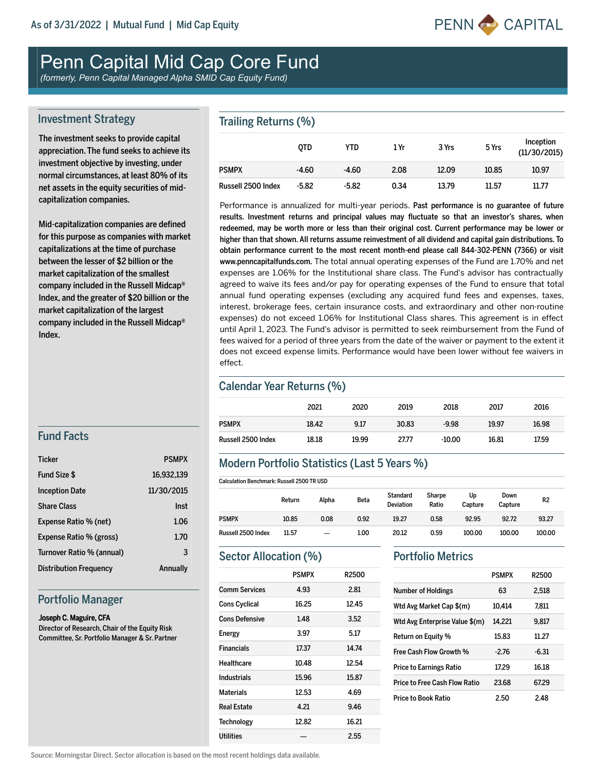

# Penn Capital Mid Cap Core Fund

*(formerly, Penn Capital Managed Alpha SMID Cap Equity Fund)*

#### Investment Strategy

The investment seeks to provide capital appreciation. The fund seeks to achieve its investment objective by investing, under normal circumstances, at least 80% of its net assets in the equity securities of midcapitalization companies.

Mid-capitalization companies are defined for this purpose as companies with market capitalizations at the time of purchase between the lesser of \$2 billion or the market capitalization of the smallest company included in the Russell Midcap® Index, and the greater of \$20 billion or the market capitalization of the largest company included in the Russell Midcap® Index.

#### Trailing Returns (%)

|                    | <b>OTD</b> | YTD     | 1 Yr | 3 Yrs | 5 Yrs | Inception<br>(11/30/2015) |
|--------------------|------------|---------|------|-------|-------|---------------------------|
| <b>PSMPX</b>       | $-4.60$    | $-4.60$ | 2.08 | 12.09 | 10.85 | 10.97                     |
| Russell 2500 Index | $-5.82$    | $-5.82$ | 0.34 | 13.79 | 11.57 | 11.77                     |

Performance is annualized for multi-year periods. Past performance is no guarantee of future results. Investment returns and principal values may fluctuate so that an investor's shares, when redeemed, may be worth more or less than their original cost. Current performance may be lower or higher than that shown. All returns assume reinvestment of all dividend and capital gain distributions. To obtain performance current to the most recent month-end please call 844-302-PENN (7366) or visit www.penncapitalfunds.com. The total annual operating expenses of the Fund are 1.70% and net expenses are 1.06% for the Institutional share class. The Fund's advisor has contractually agreed to waive its fees and/or pay for operating expenses of the Fund to ensure that total annual fund operating expenses (excluding any acquired fund fees and expenses, taxes, interest, brokerage fees, certain insurance costs, and extraordinary and other nonroutine expenses) do not exceed 1.06% for Institutional Class shares. This agreement is in effect until April 1, 2023. The Fund's advisor is permitted to seek reimbursement from the Fund of fees waived for a period of three years from the date of the waiver or payment to the extent it does not exceed expense limits. Performance would have been lower without fee waivers in effect.

#### Calendar Year Returns (%)

|                    | 2021  | 2020  | 2019  | 2018     | 2017  | 2016  |
|--------------------|-------|-------|-------|----------|-------|-------|
| <b>PSMPX</b>       | 18.42 | 9.17  | 30.83 | $-9.98$  | 19.97 | 16.98 |
| Russell 2500 Index | 18.18 | 19.99 | 27.77 | $-10.00$ | 16.81 | 17.59 |

#### Modern Portfolio Statistics (Last 5 Years %)

|                    | Return | Alpha | Beta | <b>Standard</b><br>Deviation | <b>Sharpe</b><br>Ratio | Up<br>Capture | Down<br>Capture | R <sub>2</sub> |
|--------------------|--------|-------|------|------------------------------|------------------------|---------------|-----------------|----------------|
| PSMPX              | 10.85  | 0.08  | 0.92 | 19.27                        | 0.58                   | 92.95         | 92.72           | 93.27          |
| Russell 2500 Index | 11.57  |       | 1.00 | 20.12                        | 0.59                   | 100.00        | 100.00          | 100.00         |

#### Sector Allocation (%)

|                       | <b>PSMPX</b> | R2500 |
|-----------------------|--------------|-------|
| <b>Comm Services</b>  | 4.93         | 2.81  |
| <b>Cons Cyclical</b>  | 16.25        | 12.45 |
| <b>Cons Defensive</b> | 1.48         | 3.52  |
| Energy                | 3.97         | 5.17  |
| <b>Financials</b>     | 17.37        | 14.74 |
| Healthcare            | 10.48        | 12.54 |
| Industrials           | 15.96        | 15.87 |
| <b>Materials</b>      | 12.53        | 4.69  |
| Real Estate           | 4.21         | 9.46  |
| <b>Technology</b>     | 12.82        | 16.21 |
| Utilities             |              | 2.55  |

#### Portfolio Metrics

|                                | <b>PSMPX</b> | R2500   |
|--------------------------------|--------------|---------|
| <b>Number of Holdings</b>      | 63           | 2.518   |
| Wtd Avg Market Cap \$(m)       | 10.414       | 7.811   |
| Wtd Avg Enterprise Value \$(m) | 14,221       | 9.817   |
| <b>Return on Equity %</b>      | 15.83        | 11.27   |
| <b>Free Cash Flow Growth %</b> | $-2.76$      | $-6.31$ |
| Price to Earnings Ratio        | 17.29        | 16.18   |
| Price to Free Cash Flow Ratio  | 23.68        | 67.29   |
| <b>Price to Book Ratio</b>     | 2.50         | 2.48    |

### Fund Facts

| <b>Ticker</b>                 | <b>PSMPX</b> |
|-------------------------------|--------------|
| Fund Size \$                  | 16,932,139   |
| <b>Inception Date</b>         | 11/30/2015   |
| <b>Share Class</b>            | Inst         |
| Expense Ratio % (net)         | 1.06         |
| Expense Ratio % (gross)       | 1.70         |
| Turnover Ratio % (annual)     | 3            |
| <b>Distribution Frequency</b> | Annually     |

#### Portfolio Manager

#### Joseph C. Maguire, CFA

Director of Research, Chair of the Equity Risk Committee, Sr. Portfolio Manager & Sr. Partner

Source: Morningstar Direct. Sector allocation is based on the most recent holdings data available.